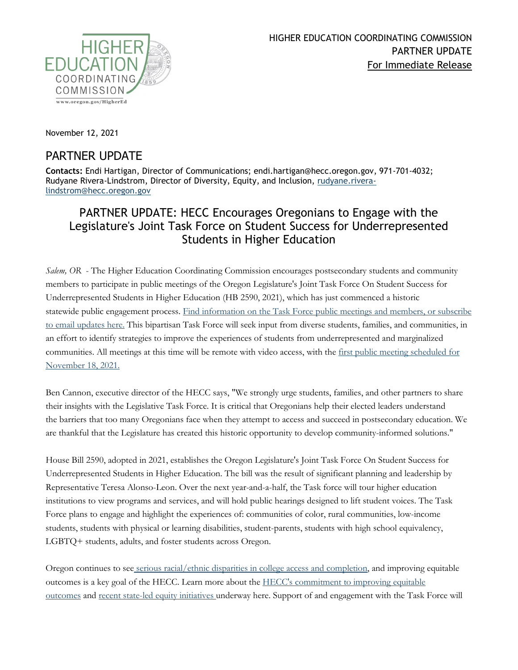

November 12, 2021

## PARTNER UPDATE

**Contacts:** Endi Hartigan, Director of Communications; endi.hartigan@hecc.oregon.gov, 971-701-4032; Rudyane Rivera-Lindstrom, Director of Diversity, Equity, and Inclusion, [rudyane.rivera](mailto:rudyane.rivera-lindstrom@hecc.oregon.gov)[lindstrom@hecc.oregon.gov](mailto:rudyane.rivera-lindstrom@hecc.oregon.gov)

## PARTNER UPDATE: HECC Encourages Oregonians to Engage with the Legislature's Joint Task Force on Student Success for Underrepresented Students in Higher Education

*Salem, OR* - The Higher Education Coordinating Commission encourages postsecondary students and community members to participate in public meetings of the Oregon Legislature's Joint Task Force On Student Success for Underrepresented Students in Higher Education (HB 2590, 2021), which has just commenced a historic statewide public engagement process. Find information [on the Task Force public meetings and](https://olis.oregonlegislature.gov/liz/2021I1/Committees/JTUSHE/Overview) members, or subscribe [to email updates here.](https://olis.oregonlegislature.gov/liz/2021I1/Committees/JTUSHE/Overview) This bipartisan Task Force will seek input from diverse students, families, and communities, in an effort to identify strategies to improve the experiences of students from underrepresented and marginalized communities. All meetings at this time will be remote with video access, with the [first public meeting scheduled for](https://olis.oregonlegislature.gov/liz/2021I1/Committees/JTUSHE/2021-11-18-11-00/Agenda)  [November 18, 2021.](https://olis.oregonlegislature.gov/liz/2021I1/Committees/JTUSHE/2021-11-18-11-00/Agenda)

Ben Cannon, executive director of the HECC says, "We strongly urge students, families, and other partners to share their insights with the Legislative Task Force. It is critical that Oregonians help their elected leaders understand the barriers that too many Oregonians face when they attempt to access and succeed in postsecondary education. We are thankful that the Legislature has created this historic opportunity to develop community-informed solutions."

House Bill 2590, adopted in 2021, establishes the Oregon Legislature's Joint Task Force On Student Success for Underrepresented Students in Higher Education. The bill was the result of significant planning and leadership by Representative Teresa Alonso-Leon. Over the next year-and-a-half, the Task force will tour higher education institutions to view programs and services, and will hold public hearings designed to lift student voices. The Task Force plans to engage and highlight the experiences of: communities of color, rural communities, low-income students, students with physical or learning disabilities, student-parents, students with high school equivalency, LGBTQ+ students, adults, and foster students across Oregon.

Oregon continues to see serious racial/ethnic [disparities in college access and completion,](https://www.oregon.gov/highered/research/Documents/Snapshots/Statewide-Snapshot.pdf) and improving equitable outcomes is a key goal of the HECC. Learn more about the [HECC's commitment to improving equitable](https://www.oregon.gov/highered/policy-collaboration/Pages/equity-success.aspx)  [outcomes](https://www.oregon.gov/highered/policy-collaboration/Pages/equity-success.aspx) and recent state-led [equity initiatives](https://www.oregon.gov/highered/policy-collaboration/Pages/equity-initiatives.aspx) underway here. Support of and engagement with the Task Force will